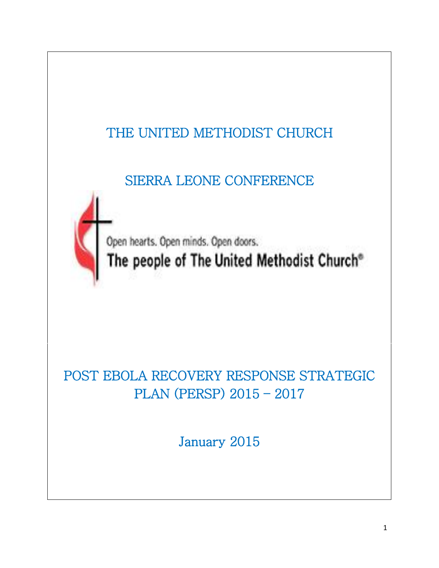

POST EBOLA RECOVERY RESPONSE STRATEGIC PLAN (PERSP) 2015 – 2017

January 2015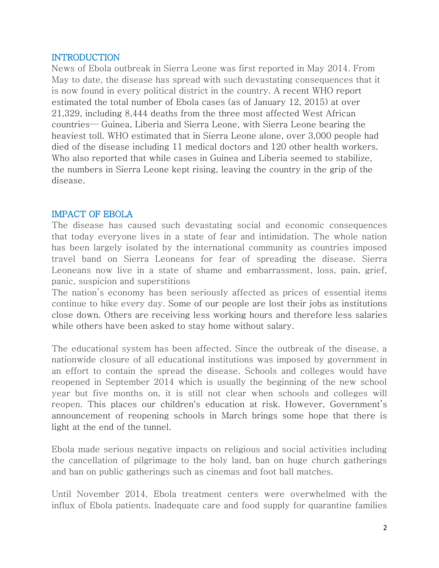### INTRODUCTION

News of Ebola outbreak in Sierra Leone was first reported in May 2014. From May to date, the disease has spread with such devastating consequences that it is now found in every political district in the country. A recent WHO report estimated the total number of Ebola cases (as of January 12, 2015) at over 21,329, including 8,444 deaths from the three most affected West African countries— Guinea, Liberia and Sierra Leone, with Sierra Leone bearing the heaviest toll. WHO estimated that in Sierra Leone alone, over 3,000 people had died of the disease including 11 medical doctors and 120 other health workers. Who also reported that while cases in Guinea and Liberia seemed to stabilize, the numbers in Sierra Leone kept rising, leaving the country in the grip of the disease.

## IMPACT OF EBOLA

The disease has caused such devastating social and economic consequences that today everyone lives in a state of fear and intimidation. The whole nation has been largely isolated by the international community as countries imposed travel band on Sierra Leoneans for fear of spreading the disease. Sierra Leoneans now live in a state of shame and embarrassment, loss, pain, grief, panic, suspicion and superstitions

The nation's economy has been seriously affected as prices of essential items continue to hike every day. Some of our people are lost their jobs as institutions close down. Others are receiving less working hours and therefore less salaries while others have been asked to stay home without salary.

The educational system has been affected. Since the outbreak of the disease, a nationwide closure of all educational institutions was imposed by government in an effort to contain the spread the disease. Schools and colleges would have reopened in September 2014 which is usually the beginning of the new school year but five months on, it is still not clear when schools and colleges will reopen. This places our children's education at risk. However, Government's announcement of reopening schools in March brings some hope that there is light at the end of the tunnel.

Ebola made serious negative impacts on religious and social activities including the cancellation of pilgrimage to the holy land, ban on huge church gatherings and ban on public gatherings such as cinemas and foot ball matches.

Until November 2014, Ebola treatment centers were overwhelmed with the influx of Ebola patients. Inadequate care and food supply for quarantine families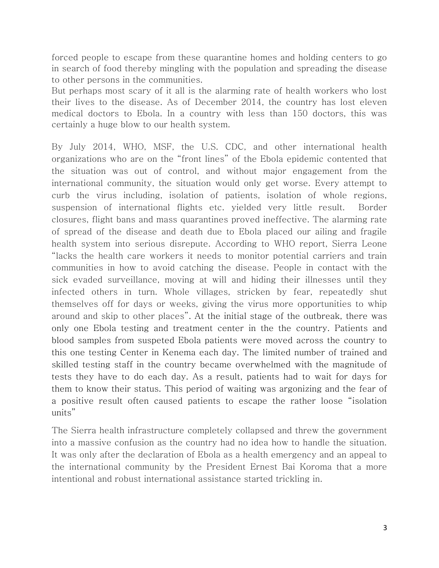forced people to escape from these quarantine homes and holding centers to go in search of food thereby mingling with the population and spreading the disease to other persons in the communities.

But perhaps most scary of it all is the alarming rate of health workers who lost their lives to the disease. As of December 2014, the country has lost eleven medical doctors to Ebola. In a country with less than 150 doctors, this was certainly a huge blow to our health system.

By July 2014, WHO, MSF, the U.S. CDC, and other international health organizations who are on the "front lines" of the Ebola epidemic contented that the situation was out of control, and without major engagement from the international community, the situation would only get worse. Every attempt to curb the virus including, isolation of patients, isolation of whole regions, suspension of international flights etc. yielded very little result. Border closures, flight bans and mass quarantines proved ineffective. The alarming rate of spread of the disease and death due to Ebola placed our ailing and fragile health system into serious disrepute. According to WHO report, Sierra Leone "lacks the health care workers it needs to monitor potential carriers and train communities in how to avoid catching the disease. People in contact with the sick evaded surveillance, moving at will and hiding their illnesses until they infected others in turn. Whole villages, stricken by fear, repeatedly shut themselves off for days or weeks, giving the virus more opportunities to whip around and skip to other places". At the initial stage of the outbreak, there was only one Ebola testing and treatment center in the the country. Patients and blood samples from suspeted Ebola patients were moved across the country to this one testing Center in Kenema each day. The limited number of trained and skilled testing staff in the country became overwhelmed with the magnitude of tests they have to do each day. As a result, patients had to wait for days for them to know their status. This period of waiting was argonizing and the fear of a positive result often caused patients to escape the rather loose "isolation units"

The Sierra health infrastructure completely collapsed and threw the government into a massive confusion as the country had no idea how to handle the situation. It was only after the declaration of Ebola as a health emergency and an appeal to the international community by the President Ernest Bai Koroma that a more intentional and robust international assistance started trickling in.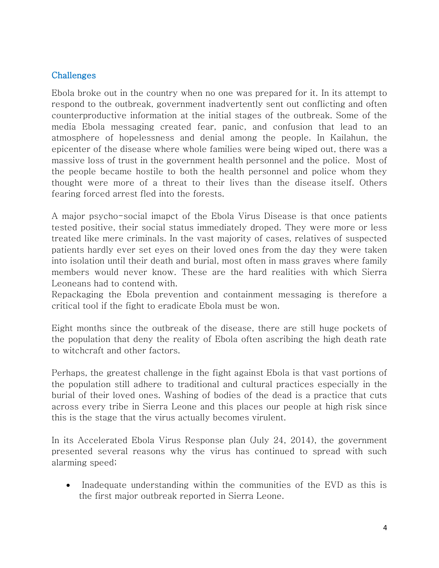### **Challenges**

Ebola broke out in the country when no one was prepared for it. In its attempt to respond to the outbreak, government inadvertently sent out conflicting and often counterproductive information at the initial stages of the outbreak. Some of the media Ebola messaging created fear, panic, and confusion that lead to an atmosphere of hopelessness and denial among the people. In Kailahun, the epicenter of the disease where whole families were being wiped out, there was a massive loss of trust in the government health personnel and the police. Most of the people became hostile to both the health personnel and police whom they thought were more of a threat to their lives than the disease itself. Others fearing forced arrest fled into the forests.

A major psycho-social imapct of the Ebola Virus Disease is that once patients tested positive, their social status immediately droped. They were more or less treated like mere criminals. In the vast majority of cases, relatives of suspected patients hardly ever set eyes on their loved ones from the day they were taken into isolation until their death and burial, most often in mass graves where family members would never know. These are the hard realities with which Sierra Leoneans had to contend with.

Repackaging the Ebola prevention and containment messaging is therefore a critical tool if the fight to eradicate Ebola must be won.

Eight months since the outbreak of the disease, there are still huge pockets of the population that deny the reality of Ebola often ascribing the high death rate to witchcraft and other factors.

Perhaps, the greatest challenge in the fight against Ebola is that vast portions of the population still adhere to traditional and cultural practices especially in the burial of their loved ones. Washing of bodies of the dead is a practice that cuts across every tribe in Sierra Leone and this places our people at high risk since this is the stage that the virus actually becomes virulent.

In its Accelerated Ebola Virus Response plan (July 24, 2014), the government presented several reasons why the virus has continued to spread with such alarming speed;

• Inadequate understanding within the communities of the EVD as this is the first major outbreak reported in Sierra Leone.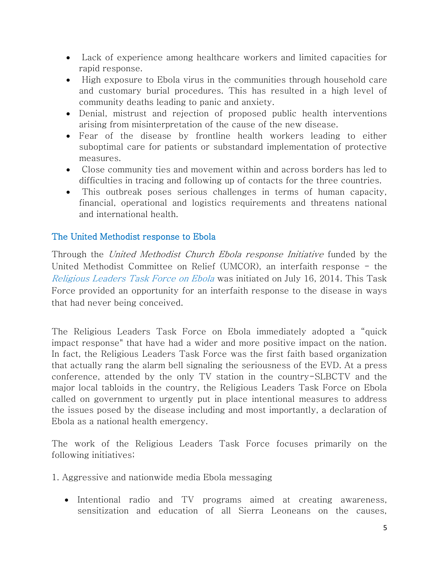- Lack of experience among healthcare workers and limited capacities for rapid response.
- High exposure to Ebola virus in the communities through household care and customary burial procedures. This has resulted in a high level of community deaths leading to panic and anxiety.
- Denial, mistrust and rejection of proposed public health interventions arising from misinterpretation of the cause of the new disease.
- Fear of the disease by frontline health workers leading to either suboptimal care for patients or substandard implementation of protective measures.
- Close community ties and movement within and across borders has led to difficulties in tracing and following up of contacts for the three countries.
- This outbreak poses serious challenges in terms of human capacity, financial, operational and logistics requirements and threatens national and international health.

## The United Methodist response to Ebola

Through the *United Methodist Church Ebola response Initiative* funded by the United Methodist Committee on Relief (UMCOR), an interfaith response - the Religious Leaders Task Force on Ebola was initiated on July 16, 2014. This Task Force provided an opportunity for an interfaith response to the disease in ways that had never being conceived.

The Religious Leaders Task Force on Ebola immediately adopted a "quick impact response" that have had a wider and more positive impact on the nation. In fact, the Religious Leaders Task Force was the first faith based organization that actually rang the alarm bell signaling the seriousness of the EVD. At a press conference, attended by the only TV station in the country-SLBCTV and the major local tabloids in the country, the Religious Leaders Task Force on Ebola called on government to urgently put in place intentional measures to address the issues posed by the disease including and most importantly, a declaration of Ebola as a national health emergency.

The work of the Religious Leaders Task Force focuses primarily on the following initiatives;

1. Aggressive and nationwide media Ebola messaging

• Intentional radio and TV programs aimed at creating awareness, sensitization and education of all Sierra Leoneans on the causes,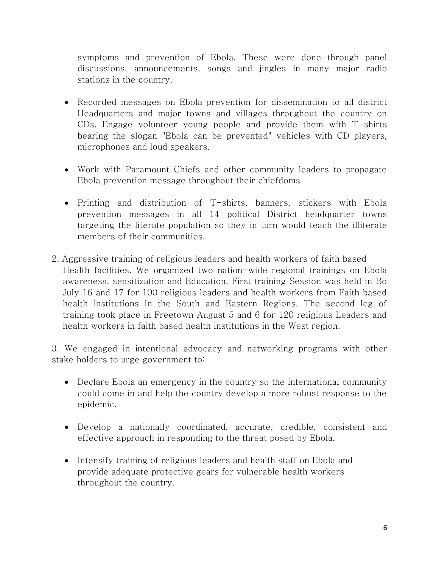symptoms and prevention of Ebola. These were done through panel discussions, announcements, songs and jingles in many major radio stations in the country.

- Recorded messages on Ebola prevention for dissemination to all district Headquarters and major towns and villages throughout the country on CDs. Engage volunteer young people and provide them with T-shirts bearing the slogan "Ebola can be prevented" vehicles with CD players, microphones and loud speakers.
- Work with Paramount Chiefs and other community leaders to propagate Ebola prevention message throughout their chiefdoms
- Printing and distribution of T-shirts, banners, stickers with Ebola prevention messages in all 14 political District headquarter towns targeting the literate population so they in turn would teach the illiterate members of their communities.
- 2. Aggressive training of religious leaders and health workers of faith based Health facilities. We organized two nation-wide regional trainings on Ebola awareness, sensitization and Education. First training Session was held in Bo July 16 and 17 for 100 religious leaders and health workers from Faith based health institutions in the South and Eastern Regions. The second leg of training took place in Freetown August 5 and 6 for 120 religious Leaders and health workers in faith based health institutions in the West region.

3. We engaged in intentional advocacy and networking programs with other stake holders to urge government to:

- Declare Ebola an emergency in the country so the international community could come in and help the country develop a more robust response to the epidemic.
- Develop a nationally coordinated, accurate, credible, consistent and effective approach in responding to the threat posed by Ebola.
- Intensify training of religious leaders and health staff on Ebola and provide adequate protective gears for vulnerable health workers throughout the country.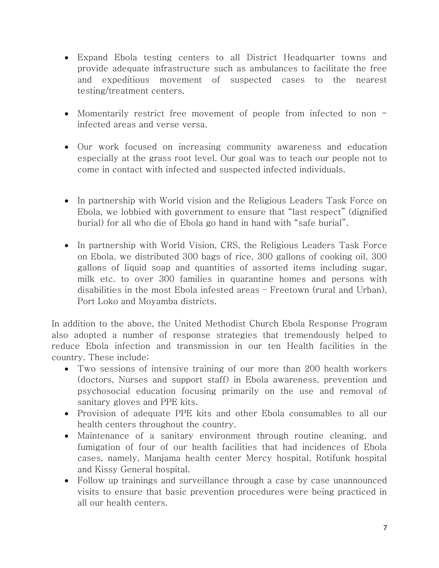- Expand Ebola testing centers to all District Headquarter towns and provide adequate infrastructure such as ambulances to facilitate the free and expeditious movement of suspected cases to the nearest testing/treatment centers.
- Momentarily restrict free movement of people from infected to non infected areas and verse versa.
- Our work focused on increasing community awareness and education especially at the grass root level. Our goal was to teach our people not to come in contact with infected and suspected infected individuals.
- In partnership with World vision and the Religious Leaders Task Force on Ebola, we lobbied with government to ensure that "last respect" (dignified burial) for all who die of Ebola go hand in hand with "safe burial".
- In partnership with World Vision, CRS, the Religious Leaders Task Force on Ebola, we distributed 300 bags of rice, 300 gallons of cooking oil, 300 gallons of liquid soap and quantities of assorted items including sugar, milk etc. to over 300 families in quarantine homes and persons with disabilities in the most Ebola infested areas – Freetown (rural and Urban), Port Loko and Moyamba districts.

In addition to the above, the United Methodist Church Ebola Response Program also adopted a number of response strategies that tremendously helped to reduce Ebola infection and transmission in our ten Health facilities in the country. These include;

- Two sessions of intensive training of our more than 200 health workers (doctors, Nurses and support staff) in Ebola awareness, prevention and psychosocial education focusing primarily on the use and removal of sanitary gloves and PPE kits.
- Provision of adequate PPE kits and other Ebola consumables to all our health centers throughout the country.
- Maintenance of a sanitary environment through routine cleaning, and fumigation of four of our health facilities that had incidences of Ebola cases, namely, Manjama health center Mercy hospital, Rotifunk hospital and Kissy General hospital.
- Follow up trainings and surveillance through a case by case unannounced visits to ensure that basic prevention procedures were being practiced in all our health centers.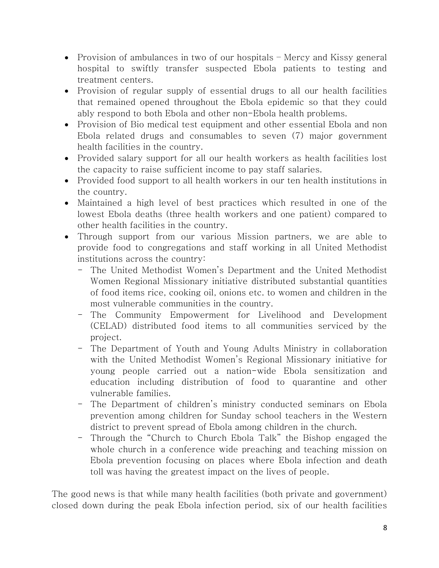- Provision of ambulances in two of our hospitals Mercy and Kissy general hospital to swiftly transfer suspected Ebola patients to testing and treatment centers.
- Provision of regular supply of essential drugs to all our health facilities that remained opened throughout the Ebola epidemic so that they could ably respond to both Ebola and other non-Ebola health problems.
- Provision of Bio medical test equipment and other essential Ebola and non Ebola related drugs and consumables to seven (7) major government health facilities in the country.
- Provided salary support for all our health workers as health facilities lost the capacity to raise sufficient income to pay staff salaries.
- Provided food support to all health workers in our ten health institutions in the country.
- Maintained a high level of best practices which resulted in one of the lowest Ebola deaths (three health workers and one patient) compared to other health facilities in the country.
- Through support from our various Mission partners, we are able to provide food to congregations and staff working in all United Methodist institutions across the country:
	- The United Methodist Women's Department and the United Methodist Women Regional Missionary initiative distributed substantial quantities of food items rice, cooking oil, onions etc. to women and children in the most vulnerable communities in the country.
	- The Community Empowerment for Livelihood and Development (CELAD) distributed food items to all communities serviced by the project.
	- The Department of Youth and Young Adults Ministry in collaboration with the United Methodist Women's Regional Missionary initiative for young people carried out a nation-wide Ebola sensitization and education including distribution of food to quarantine and other vulnerable families.
	- The Department of children's ministry conducted seminars on Ebola prevention among children for Sunday school teachers in the Western district to prevent spread of Ebola among children in the church.
	- Through the "Church to Church Ebola Talk" the Bishop engaged the whole church in a conference wide preaching and teaching mission on Ebola prevention focusing on places where Ebola infection and death toll was having the greatest impact on the lives of people.

The good news is that while many health facilities (both private and government) closed down during the peak Ebola infection period, six of our health facilities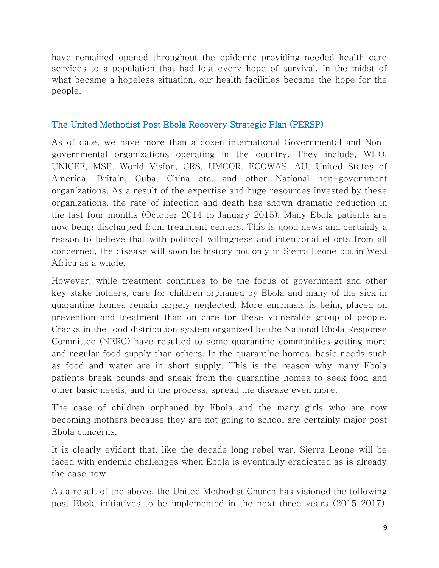have remained opened throughout the epidemic providing needed health care services to a population that had lost every hope of survival. In the midst of what became a hopeless situation, our health facilities became the hope for the people.

# The United Methodist Post Ebola Recovery Strategic Plan (PERSP)

As of date, we have more than a dozen international Governmental and Nongovernmental organizations operating in the country. They include, WHO, UNICEF, MSF, World Vision, CRS, UMCOR, ECOWAS, AU, United States of America, Britain, Cuba, China etc. and other National non-government organizations. As a result of the expertise and huge resources invested by these organizations, the rate of infection and death has shown dramatic reduction in the last four months (October 2014 to January 2015). Many Ebola patients are now being discharged from treatment centers. This is good news and certainly a reason to believe that with political willingness and intentional efforts from all concerned, the disease will soon be history not only in Sierra Leone but in West Africa as a whole.

However, while treatment continues to be the focus of government and other key stake holders, care for children orphaned by Ebola and many of the sick in quarantine homes remain largely neglected. More emphasis is being placed on prevention and treatment than on care for these vulnerable group of people. Cracks in the food distribution system organized by the National Ebola Response Committee (NERC) have resulted to some quarantine communities getting more and regular food supply than others. In the quarantine homes, basic needs such as food and water are in short supply. This is the reason why many Ebola patients break bounds and sneak from the quarantine homes to seek food and other basic needs, and in the process, spread the disease even more.

The case of children orphaned by Ebola and the many girls who are now becoming mothers because they are not going to school are certainly major post Ebola concerns.

It is clearly evident that, like the decade long rebel war, Sierra Leone will be faced with endemic challenges when Ebola is eventually eradicated as is already the case now.

As a result of the above, the United Methodist Church has visioned the following post Ebola initiatives to be implemented in the next three years (2015 2017).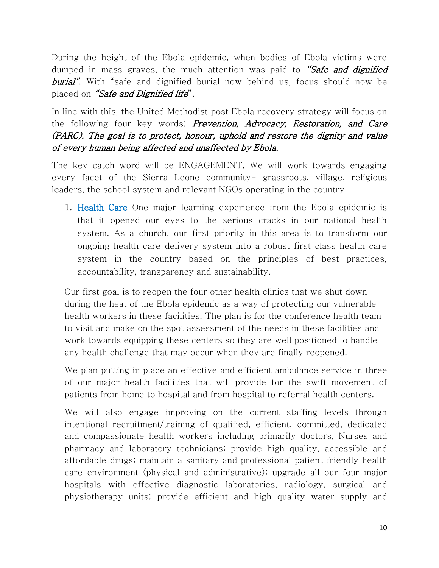During the height of the Ebola epidemic, when bodies of Ebola victims were dumped in mass graves, the much attention was paid to "Safe and dignified burial". With "safe and dignified burial now behind us, focus should now be placed on "Safe and Dignified life".

In line with this, the United Methodist post Ebola recovery strategy will focus on the following four key words; Prevention, Advocacy, Restoration, and Care (PARC). The goal is to protect, honour, uphold and restore the dignity and value of every human being affected and unaffected by Ebola.

The key catch word will be ENGAGEMENT. We will work towards engaging every facet of the Sierra Leone community- grassroots, village, religious leaders, the school system and relevant NGOs operating in the country.

1. Health Care One major learning experience from the Ebola epidemic is that it opened our eyes to the serious cracks in our national health system. As a church, our first priority in this area is to transform our ongoing health care delivery system into a robust first class health care system in the country based on the principles of best practices, accountability, transparency and sustainability.

Our first goal is to reopen the four other health clinics that we shut down during the heat of the Ebola epidemic as a way of protecting our vulnerable health workers in these facilities. The plan is for the conference health team to visit and make on the spot assessment of the needs in these facilities and work towards equipping these centers so they are well positioned to handle any health challenge that may occur when they are finally reopened.

We plan putting in place an effective and efficient ambulance service in three of our major health facilities that will provide for the swift movement of patients from home to hospital and from hospital to referral health centers.

We will also engage improving on the current staffing levels through intentional recruitment/training of qualified, efficient, committed, dedicated and compassionate health workers including primarily doctors, Nurses and pharmacy and laboratory technicians; provide high quality, accessible and affordable drugs; maintain a sanitary and professional patient friendly health care environment (physical and administrative); upgrade all our four major hospitals with effective diagnostic laboratories, radiology, surgical and physiotherapy units; provide efficient and high quality water supply and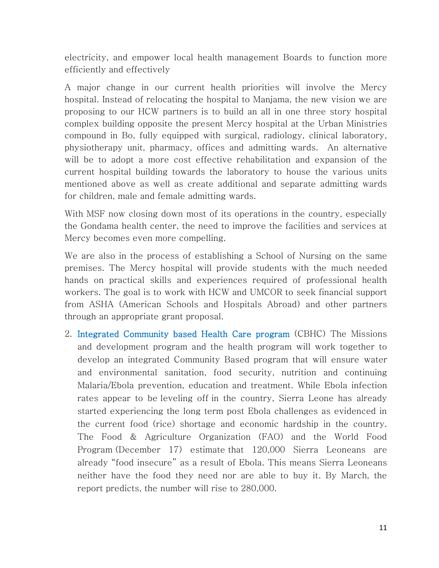electricity, and empower local health management Boards to function more efficiently and effectively

A major change in our current health priorities will involve the Mercy hospital. Instead of relocating the hospital to Manjama, the new vision we are proposing to our HCW partners is to build an all in one three story hospital complex building opposite the present Mercy hospital at the Urban Ministries compound in Bo, fully equipped with surgical, radiology, clinical laboratory, physiotherapy unit, pharmacy, offices and admitting wards. An alternative will be to adopt a more cost effective rehabilitation and expansion of the current hospital building towards the laboratory to house the various units mentioned above as well as create additional and separate admitting wards for children, male and female admitting wards.

With MSF now closing down most of its operations in the country, especially the Gondama health center, the need to improve the facilities and services at Mercy becomes even more compelling.

We are also in the process of establishing a School of Nursing on the same premises. The Mercy hospital will provide students with the much needed hands on practical skills and experiences required of professional health workers. The goal is to work with HCW and UMCOR to seek financial support from ASHA (American Schools and Hospitals Abroad) and other partners through an appropriate grant proposal.

2. Integrated Community based Health Care program (CBHC) The Missions and development program and the health program will work together to develop an integrated Community Based program that will ensure water and environmental sanitation, food security, nutrition and continuing Malaria/Ebola prevention, education and treatment. While Ebola infection rates appear to be [leveling off](http://www.newsweek.com/ebola-could-be-levelling-sierra-leone-who-297831) in the country, Sierra Leone has already started experiencing the long term post Ebola challenges as evidenced in the current food (rice) shortage and economic hardship in the country. The Food & Agriculture Organization (FAO) and the World Food Program (December 17) estimate that 120,000 Sierra Leoneans are already "[food insecure](http://www.who.int/trade/glossary/story028/en/)" as a result of Ebola. This means Sierra Leoneans neither have the food they need nor are able to buy it. By March, the report predicts, the number will rise to 280,000.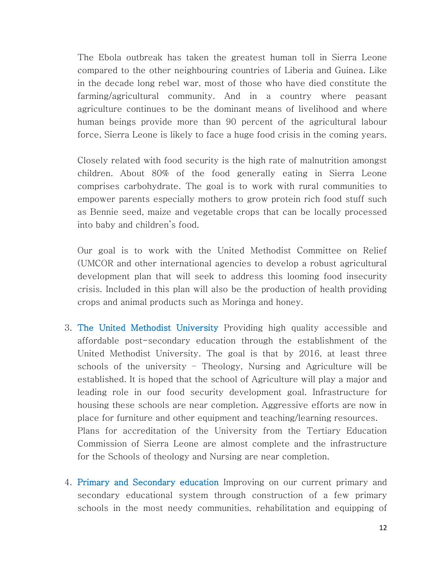The Ebola outbreak has taken the greatest human toll in Sierra Leone compared to the other neighbouring countries of Liberia and Guinea. Like in the decade long rebel war, most of those who have died constitute the farming/agricultural community. And in a country where peasant agriculture continues to be the dominant means of livelihood and where human beings provide more than 90 percent of the agricultural labour force, Sierra Leone is likely to face a huge food crisis in the coming years.

Closely related with food security is the high rate of malnutrition amongst children. About 80% of the food generally eating in Sierra Leone comprises carbohydrate. The goal is to work with rural communities to empower parents especially mothers to grow protein rich food stuff such as Bennie seed, maize and vegetable crops that can be locally processed into baby and children's food.

Our goal is to work with the United Methodist Committee on Relief (UMCOR and other international agencies to develop a robust agricultural development plan that will seek to address this looming food insecurity crisis. Included in this plan will also be the production of health providing crops and animal products such as Moringa and honey.

- 3. The United Methodist University Providing high quality accessible and affordable post-secondary education through the establishment of the United Methodist University. The goal is that by 2016, at least three schools of the university – Theology, Nursing and Agriculture will be established. It is hoped that the school of Agriculture will play a major and leading role in our food security development goal. Infrastructure for housing these schools are near completion. Aggressive efforts are now in place for furniture and other equipment and teaching/learning resources. Plans for accreditation of the University from the Tertiary Education Commission of Sierra Leone are almost complete and the infrastructure for the Schools of theology and Nursing are near completion.
- 4. Primary and Secondary education Improving on our current primary and secondary educational system through construction of a few primary schools in the most needy communities, rehabilitation and equipping of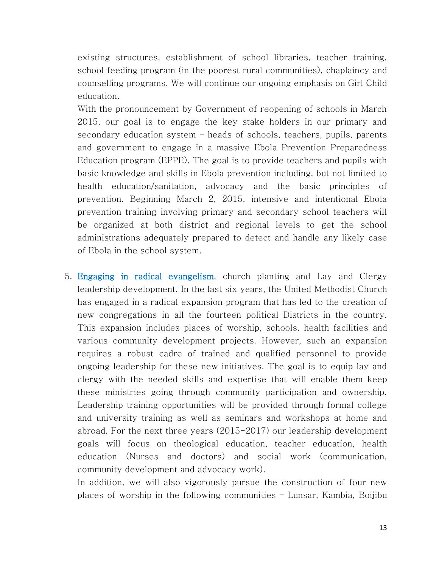existing structures, establishment of school libraries, teacher training, school feeding program (in the poorest rural communities), chaplaincy and counselling programs. We will continue our ongoing emphasis on Girl Child education.

With the pronouncement by Government of reopening of schools in March 2015, our goal is to engage the key stake holders in our primary and secondary education system – heads of schools, teachers, pupils, parents and government to engage in a massive Ebola Prevention Preparedness Education program (EPPE). The goal is to provide teachers and pupils with basic knowledge and skills in Ebola prevention including, but not limited to health education/sanitation, advocacy and the basic principles of prevention. Beginning March 2, 2015, intensive and intentional Ebola prevention training involving primary and secondary school teachers will be organized at both district and regional levels to get the school administrations adequately prepared to detect and handle any likely case of Ebola in the school system.

5. Engaging in radical evangelism, church planting and Lay and Clergy leadership development. In the last six years, the United Methodist Church has engaged in a radical expansion program that has led to the creation of new congregations in all the fourteen political Districts in the country. This expansion includes places of worship, schools, health facilities and various community development projects. However, such an expansion requires a robust cadre of trained and qualified personnel to provide ongoing leadership for these new initiatives. The goal is to equip lay and clergy with the needed skills and expertise that will enable them keep these ministries going through community participation and ownership. Leadership training opportunities will be provided through formal college and university training as well as seminars and workshops at home and abroad. For the next three years (2015-2017) our leadership development goals will focus on theological education, teacher education, health education (Nurses and doctors) and social work (communication, community development and advocacy work).

In addition, we will also vigorously pursue the construction of four new places of worship in the following communities – Lunsar, Kambia, Boijibu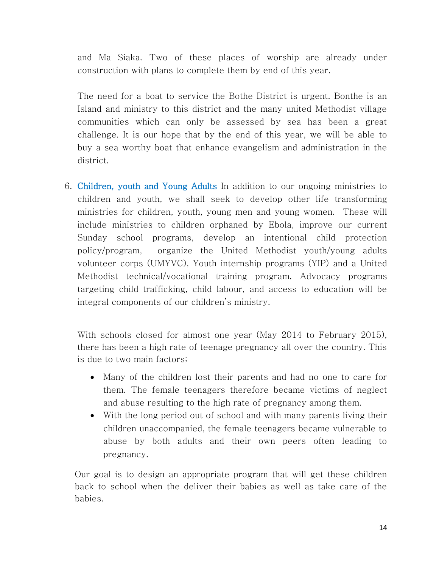and Ma Siaka. Two of these places of worship are already under construction with plans to complete them by end of this year.

The need for a boat to service the Bothe District is urgent. Bonthe is an Island and ministry to this district and the many united Methodist village communities which can only be assessed by sea has been a great challenge. It is our hope that by the end of this year, we will be able to buy a sea worthy boat that enhance evangelism and administration in the district.

6. Children, youth and Young Adults In addition to our ongoing ministries to children and youth, we shall seek to develop other life transforming ministries for children, youth, young men and young women. These will include ministries to children orphaned by Ebola, improve our current Sunday school programs, develop an intentional child protection policy/program, organize the United Methodist youth/young adults volunteer corps (UMYVC), Youth internship programs (YIP) and a United Methodist technical/vocational training program. Advocacy programs targeting child trafficking, child labour, and access to education will be integral components of our children's ministry.

With schools closed for almost one year (May 2014 to February 2015), there has been a high rate of teenage pregnancy all over the country. This is due to two main factors;

- Many of the children lost their parents and had no one to care for them. The female teenagers therefore became victims of neglect and abuse resulting to the high rate of pregnancy among them.
- With the long period out of school and with many parents living their children unaccompanied, the female teenagers became vulnerable to abuse by both adults and their own peers often leading to pregnancy.

Our goal is to design an appropriate program that will get these children back to school when the deliver their babies as well as take care of the babies.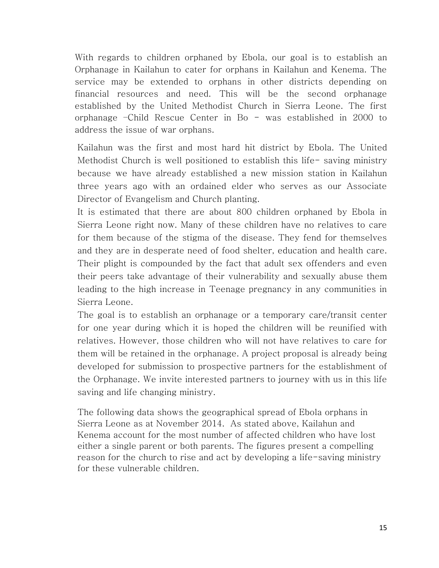With regards to children orphaned by Ebola, our goal is to establish an Orphanage in Kailahun to cater for orphans in Kailahun and Kenema. The service may be extended to orphans in other districts depending on financial resources and need. This will be the second orphanage established by the United Methodist Church in Sierra Leone. The first orphanage –Child Rescue Center in Bo - was established in 2000 to address the issue of war orphans.

Kailahun was the first and most hard hit district by Ebola. The United Methodist Church is well positioned to establish this life- saving ministry because we have already established a new mission station in Kailahun three years ago with an ordained elder who serves as our Associate Director of Evangelism and Church planting.

It is estimated that there are about 800 children orphaned by Ebola in Sierra Leone right now. Many of these children have no relatives to care for them because of the stigma of the disease. They fend for themselves and they are in desperate need of food shelter, education and health care. Their plight is compounded by the fact that adult sex offenders and even their peers take advantage of their vulnerability and sexually abuse them leading to the high increase in Teenage pregnancy in any communities in Sierra Leone.

The goal is to establish an orphanage or a temporary care/transit center for one year during which it is hoped the children will be reunified with relatives. However, those children who will not have relatives to care for them will be retained in the orphanage. A project proposal is already being developed for submission to prospective partners for the establishment of the Orphanage. We invite interested partners to journey with us in this life saving and life changing ministry.

The following data shows the geographical spread of Ebola orphans in Sierra Leone as at November 2014. As stated above, Kailahun and Kenema account for the most number of affected children who have lost either a single parent or both parents. The figures present a compelling reason for the church to rise and act by developing a life-saving ministry for these vulnerable children.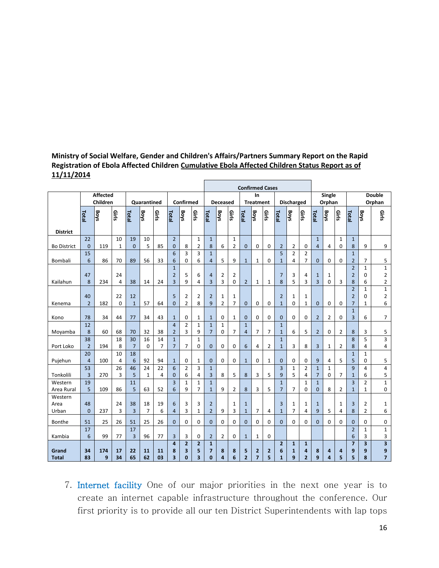#### **Ministry of Social Welfare, Gender and Children's Affairs/Partners Summary Report on the Rapid Registration of Ebola Affected Children Cumulative Ebola Affected Children Status Report as of 11/11/2014**

|                    |                      |                      |              |                    |              |                |                                |                   |                         |                                | <b>Confirmed Cases</b> |       |                        |                |                |                     |                   |                   |                  |                |             |                                  |                          |                               |
|--------------------|----------------------|----------------------|--------------|--------------------|--------------|----------------|--------------------------------|-------------------|-------------------------|--------------------------------|------------------------|-------|------------------------|----------------|----------------|---------------------|-------------------|-------------------|------------------|----------------|-------------|----------------------------------|--------------------------|-------------------------------|
|                    |                      | Affected<br>Children |              |                    |              |                | Confirmed                      |                   |                         | <b>Deceased</b>                |                        |       | In<br><b>Treatment</b> |                |                | <b>Discharged</b>   |                   |                   | Single<br>Orphan |                |             | <b>Double</b><br>Orphan          |                          |                               |
|                    |                      |                      |              | <b>Quarantined</b> |              |                |                                |                   |                         |                                |                        |       |                        |                |                |                     |                   |                   |                  |                |             |                                  |                          |                               |
|                    | Total                | <b>Boys</b>          | <b>Girls</b> | Total              | <b>Boys</b>  | <b>Girls</b>   | Total                          | <b>Boys</b>       | Girls                   | Total                          | <b>Boys</b>            | Girls | Total                  | <b>Boys</b>    | Girls          | Total               | <b>Boys</b>       | Girls             | Total            | <b>Boys</b>    | Girls       | Total                            | <b>Boys</b>              | Girls                         |
|                    |                      |                      |              |                    |              |                |                                |                   |                         |                                |                        |       |                        |                |                |                     |                   |                   |                  |                |             |                                  |                          |                               |
| <b>District</b>    | 22                   |                      | 10           | 19                 | 10           |                | $\overline{2}$                 |                   | $\mathbf{1}$            | $\mathbf{1}$                   |                        | $1\,$ |                        |                |                |                     |                   |                   | $\mathbf{1}$     |                | $\mathbf 1$ | $\mathbf{1}$                     |                          |                               |
| <b>Bo District</b> | $\mathbf{0}$         | 119                  | $\mathbf{1}$ | $\overline{0}$     | 5            | 85             | $\mathbf{0}$                   | 8                 | 2                       | 8                              | 6                      | 2     | $\overline{0}$         | $\mathbf 0$    | $\mathbf 0$    | $\overline{2}$      | 2                 | 0                 | 4                | 4              | 0           | 8                                | 9                        | 9                             |
|                    | 15                   |                      |              |                    |              |                | $6\phantom{1}$                 | 3                 | 3                       | $\mathbf{1}$                   |                        |       |                        |                |                | 5                   | $\overline{2}$    | $\overline{2}$    |                  |                |             | $1\,$                            |                          |                               |
| Bombali            | 6                    | 86                   | 70           | 89                 | 56           | 33             | 6                              | $\mathbf 0$       | 6                       | $\overline{4}$                 | 5                      | 9     | $\mathbf{1}$           | 1              | 0              | $\mathbf{1}$        | 4                 | $\overline{7}$    | $\mathbf 0$      | 0              | 0           | $\overline{2}$                   | $\overline{7}$           | 5                             |
|                    | 47                   |                      | 24           |                    |              |                | $\mathbf{1}$<br>$\overline{2}$ | 5                 | 6                       | $\overline{4}$                 | 2                      | 2     |                        |                |                | 7                   | 3                 | 4                 | $\mathbf{1}$     | 1              |             | $\overline{2}$<br>$\overline{2}$ | $\mathbf{1}$<br>0        | $\mathbf 1$<br>$\overline{2}$ |
| Kailahun           | 8                    | 234                  | 4            | 38                 | 14           | 24             | 3                              | 9                 | 4                       | 3                              | 3                      | 0     | $\overline{2}$         | $\mathbf{1}$   | $\mathbf{1}$   | 8                   | 5                 | 3                 | 3                | 0              | 3           | 8                                | 6                        | $\overline{2}$                |
|                    |                      |                      |              |                    |              |                |                                |                   |                         |                                |                        |       |                        |                |                |                     |                   |                   |                  |                |             | $\overline{2}$                   | $\mathbf{1}$             | $\mathbf 1$                   |
|                    | 40                   |                      | 22           | 12                 |              |                | 5                              | $\overline{2}$    | 2                       | $\overline{2}$                 | 1                      | 1     |                        |                |                | $\overline{2}$      | 1                 | 1                 |                  |                |             | $\overline{2}$                   | 0                        | $\overline{2}$                |
| Kenema             | $\overline{2}$       | 182                  | $\mathbf 0$  | $\mathbf{1}$       | 57           | 64             | $\mathbf 0$                    | $\overline{2}$    | 8                       | 9                              | $\overline{2}$         | 7     | $\mathbf 0$            | 0              | $\mathbf 0$    | $\mathbf{1}$        | 0                 | $\mathbf{1}$      | $\mathbf{0}$     | $\mathbf 0$    | $\mathbf 0$ | $\overline{7}$                   | $\mathbf{1}$             | 6                             |
| Kono               | 78                   | 34                   | 44           | 77                 | 34           | 43             | $\mathbf{1}$                   | $\mathbf 0$       | $\mathbf{1}$            | $\mathbf{1}$                   | 0                      | 1     | $\mathbf{0}$           | 0              | $\mathbf 0$    | $\mathbf{0}$        | 0                 | $\mathbf 0$       | $\overline{2}$   | $\overline{2}$ | 0           | $\mathbf{1}$<br>3                | 6                        | 7                             |
|                    | 12                   |                      |              |                    |              |                | $\overline{a}$                 | $\overline{2}$    | $\mathbf{1}$            | $\mathbf{1}$                   | $\mathbf{1}$           |       | $\mathbf{1}$           |                |                | $\mathbf{1}$        |                   |                   |                  |                |             |                                  |                          |                               |
| Moyamba            | 8                    | 60                   | 68           | 70                 | 32           | 38             | $\overline{2}$                 | 3                 | 9                       | $\overline{7}$                 | 0                      | 7     | $\overline{4}$         | 7              | $\overline{7}$ | $\mathbf{1}$        | 6                 | 5                 | $\overline{2}$   | 0              | 2           | 8                                | 3                        | 5                             |
|                    | 38                   |                      | 18           | 30                 | 16           | 14             | $\mathbf{1}$                   |                   | $\mathbf{1}$            |                                |                        |       |                        |                |                | $\mathbf{1}$        |                   |                   |                  |                |             | 8                                | 5                        | 3                             |
| Port Loko          | $\overline{2}$       | 194                  | 8            | $\overline{7}$     | $\mathbf 0$  | $\overline{7}$ | $\overline{7}$                 | $\overline{7}$    | 0                       | $\mathbf 0$                    | 0                      | 0     | $6\phantom{1}6$        | 4              | $\overline{2}$ | $\mathbf{1}$        | 3                 | 8                 | 3                | $\mathbf{1}$   | 2           | 8                                | 4                        | 4                             |
| Pujehun            | 20<br>$\overline{4}$ | 100                  | 10<br>4      | 18<br>6            | 92           | 94             | $\mathbf{1}$                   | $\mathbf 0$       | 1                       | $\mathbf 0$                    | 0                      | 0     | $\mathbf{1}$           | 0              | $\mathbf{1}$   | $\mathbf{0}$        | 0                 | 0                 | 9                | 4              | 5           | $\mathbf{1}$<br>5                | $\mathbf{1}$<br>$\Omega$ | 5                             |
|                    | 53                   |                      | 26           | 46                 | 24           | 22             | $6\phantom{1}$                 | $\overline{2}$    | 3                       | $\mathbf{1}$                   |                        |       |                        |                |                | $\overline{3}$      | $\mathbf{1}$      | $\overline{2}$    | $\mathbf{1}$     | $\mathbf 1$    |             | 9                                | $\overline{4}$           | 4                             |
| Tonkolili          | $\overline{3}$       | 270                  | 3            | 5                  | $\mathbf{1}$ | 4              | $\mathbf{0}$                   | 6                 | 4                       | 3                              | 8                      | 5     | 8                      | 3              | 5              | 9                   | 5                 | 4                 | 7                | 0              | 7           | $\mathbf{1}$                     | 6                        | 5                             |
| Western            | 19                   |                      |              | 11                 |              |                | $\overline{3}$                 | $\mathbf{1}$      | $\mathbf 1$             | $\mathbf{1}$                   |                        |       |                        |                |                | $\mathbf{1}$        |                   | $\mathbf 1$       | $\overline{1}$   |                |             | $\overline{3}$                   | $\overline{2}$           | $\mathbf{1}$                  |
| Area Rural         | 5                    | 109                  | 86           | 5                  | 63           | 52             | $6\phantom{1}6$                | 9                 | $\overline{7}$          | $\mathbf{1}$                   | 9                      | 2     | 8                      | 3              | 5              | $\overline{7}$      | 7                 | 0                 | 0                | 8              | 2           | $\mathbf{1}$                     | $\mathbf{1}$             | 0                             |
| Western            |                      |                      |              |                    |              |                |                                |                   |                         |                                |                        |       |                        |                |                |                     |                   |                   |                  |                |             |                                  |                          |                               |
| Area               | 48                   |                      | 24           | 38                 | 18           | 19             | 6                              | 3                 | 3                       | $\overline{2}$                 |                        | 1     | $\mathbf{1}$           |                |                | 3                   | 1                 | 1                 | $\mathbf{1}$     |                | 1           | 3                                | 2                        | $\mathbf{1}$                  |
| Urban              | $\overline{0}$       | 237                  | 3            | 3                  | 7            | 6              | $\overline{4}$                 | 3                 | 1                       | $\overline{2}$                 | 9                      | 3     | $\mathbf{1}$           | 7              | $\overline{4}$ | $\mathbf{1}$        | 7                 | 4                 | 9                | 5              | 4           | 8                                | $\overline{2}$           | 6                             |
| Bonthe             | 51                   | 25                   | 26           | 51                 | 25           | 26             | $\mathbf{0}$                   | 0                 | 0                       | $\mathbf{0}$                   | 0                      | 0     | $\mathbf{0}$           | 0              | 0              | $\mathbf{0}$        | 0                 | 0                 | 0                | 0              | 0           | $\mathbf{0}$                     | 0                        | 0                             |
|                    | 17                   |                      |              | 17                 |              |                |                                |                   |                         |                                |                        |       |                        |                |                |                     |                   |                   |                  |                |             | $\overline{2}$                   | $\mathbf{1}$             | $\mathbf{1}$                  |
| Kambia             | 6                    | 99                   | 77           | 3                  | 96           | 77             | 3                              | 3                 | 0                       | $\overline{2}$                 | $\overline{2}$         | 0     | $\mathbf{1}$           | 1              | $\mathbf 0$    |                     |                   |                   |                  |                |             | 6                                | 3<br>3                   | 3                             |
| Grand              | 34                   | 174                  | 17           | 22                 | 11           | 11             | $\overline{4}$<br>8            | $\mathbf{2}$<br>3 | $\overline{2}$<br>5     | $\mathbf{1}$<br>$\overline{7}$ | 8                      | 8     | 5                      | $\overline{2}$ | $\overline{2}$ | $\overline{2}$<br>6 | $\mathbf{1}$<br>1 | $\mathbf{1}$<br>4 | 8                | 4              | 4           | $\overline{7}$<br>9              | 9                        | 3<br>9                        |
| <b>Total</b>       | 83                   | 9                    | 34           | 65                 | 62           | 03             | 3                              | $\mathbf{0}$      | $\overline{\mathbf{3}}$ | $\mathbf{0}$                   | $\overline{a}$         | 6     | $\overline{2}$         | $\overline{7}$ | 5              | $\mathbf{1}$        | 9                 | $\overline{2}$    | 9                | 4              | 5           | 5                                | 8                        | $\overline{7}$                |

7. Internet facility One of our major priorities in the next one year is to create an internet capable infrastructure throughout the conference. Our first priority is to provide all our ten District Superintendents with lap tops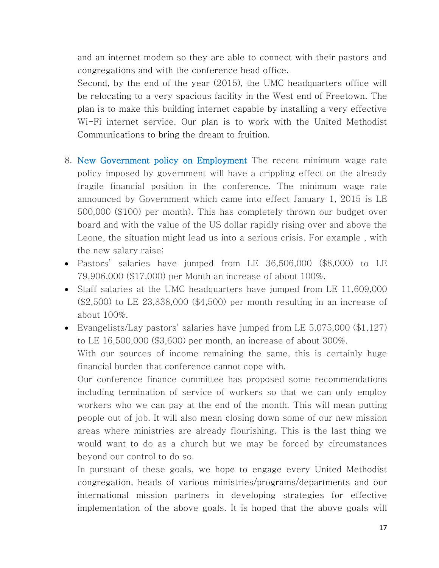and an internet modem so they are able to connect with their pastors and congregations and with the conference head office.

Second, by the end of the year (2015), the UMC headquarters office will be relocating to a very spacious facility in the West end of Freetown. The plan is to make this building internet capable by installing a very effective Wi-Fi internet service. Our plan is to work with the United Methodist Communications to bring the dream to fruition.

- 8. New Government policy on Employment The recent minimum wage rate policy imposed by government will have a crippling effect on the already fragile financial position in the conference. The minimum wage rate announced by Government which came into effect January 1, 2015 is LE 500,000 (\$100) per month). This has completely thrown our budget over board and with the value of the US dollar rapidly rising over and above the Leone, the situation might lead us into a serious crisis. For example , with the new salary raise;
- Pastors' salaries have jumped from LE 36,506,000 (\$8,000) to LE 79,906,000 (\$17,000) per Month an increase of about 100%.
- Staff salaries at the UMC headquarters have jumped from LE 11,609,000 (\$2,500) to LE 23,838,000 (\$4,500) per month resulting in an increase of about 100%.
- Evangelists/Lay pastors' salaries have jumped from LE 5,075,000 (\$1,127) to LE 16,500,000 (\$3,600) per month, an increase of about 300%.

With our sources of income remaining the same, this is certainly huge financial burden that conference cannot cope with.

Our conference finance committee has proposed some recommendations including termination of service of workers so that we can only employ workers who we can pay at the end of the month. This will mean putting people out of job. It will also mean closing down some of our new mission areas where ministries are already flourishing. This is the last thing we would want to do as a church but we may be forced by circumstances beyond our control to do so.

In pursuant of these goals, we hope to engage every United Methodist congregation, heads of various ministries/programs/departments and our international mission partners in developing strategies for effective implementation of the above goals. It is hoped that the above goals will